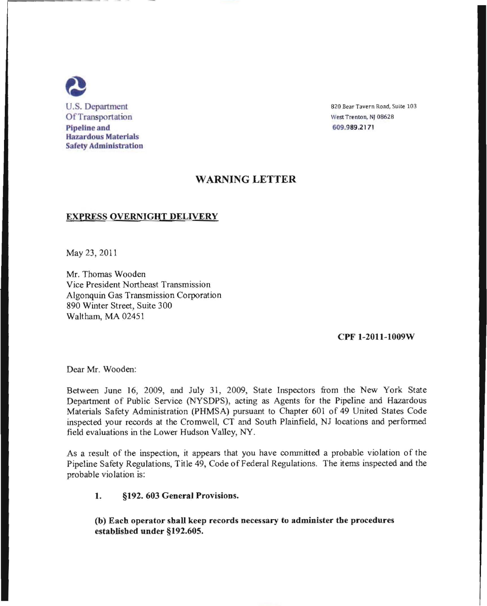

U.S. Department 820 Bear Tavern Road, Suite 103

## WARNING LETTER

## EXPRESS OVERNIGHT DELIVERY

May 23,2011

Mr. Thomas Wooden Vice President Northeast Transmission Algonquin Gas Transmission Corporation 890 Winter Street, Suite 300 Waltham, MA 02451

## CPF 1-2011-1009W

Dear Mr. Wooden:

Between June 16, 2009, and July 31, 2009, State Inspectors from the New York State Department of Public Service (NYSDPS), acting as Agents for the Pipeline and Hazardous Materials Safety Administration (PHMSA) pursuant to Chapter 601 of 49 United States Code inspected your records at the Cromwell, CT and South Plainfield, NJ locations and performed field evaluations in the Lower Hudson Valley, NY.

As a result of the inspection, it appears that you have committed a probable violation of the Pipeline Safety Regulations, Title 49, Code of Federal Regulations. The items inspected and the probable violation is:

## 1. §192. 603 General Provisions.

(b) Each operator shall keep records necessary to administer the procedures established under §192.605.